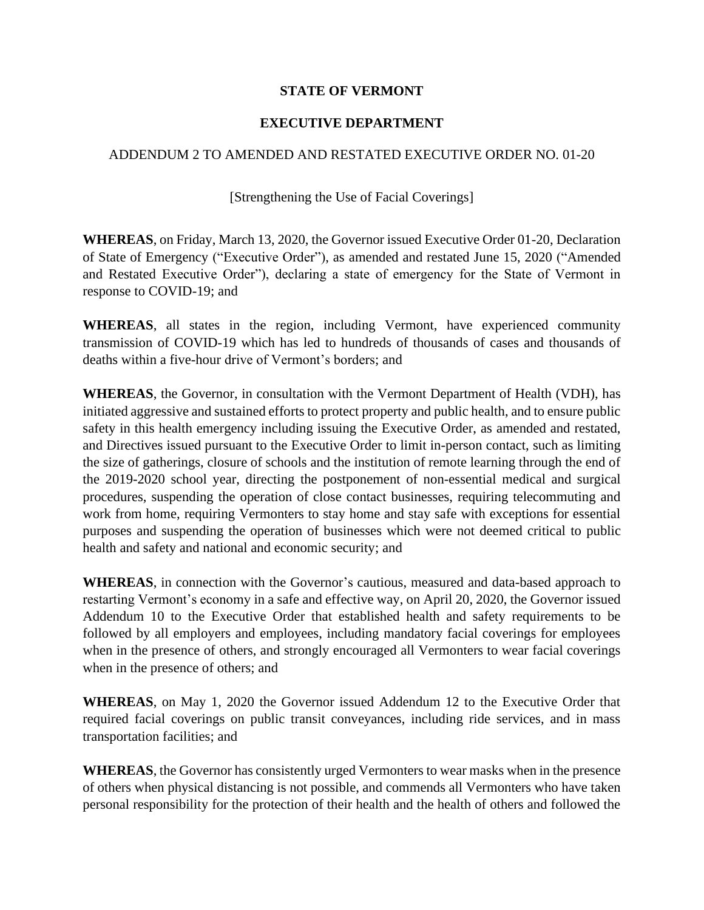## **STATE OF VERMONT**

## **EXECUTIVE DEPARTMENT**

## ADDENDUM 2 TO AMENDED AND RESTATED EXECUTIVE ORDER NO. 01-20

## [Strengthening the Use of Facial Coverings]

**WHEREAS**, on Friday, March 13, 2020, the Governor issued Executive Order 01-20, Declaration of State of Emergency ("Executive Order"), as amended and restated June 15, 2020 ("Amended and Restated Executive Order"), declaring a state of emergency for the State of Vermont in response to COVID-19; and

**WHEREAS**, all states in the region, including Vermont, have experienced community transmission of COVID-19 which has led to hundreds of thousands of cases and thousands of deaths within a five-hour drive of Vermont's borders; and

**WHEREAS**, the Governor, in consultation with the Vermont Department of Health (VDH), has initiated aggressive and sustained efforts to protect property and public health, and to ensure public safety in this health emergency including issuing the Executive Order, as amended and restated, and Directives issued pursuant to the Executive Order to limit in-person contact, such as limiting the size of gatherings, closure of schools and the institution of remote learning through the end of the 2019-2020 school year, directing the postponement of non-essential medical and surgical procedures, suspending the operation of close contact businesses, requiring telecommuting and work from home, requiring Vermonters to stay home and stay safe with exceptions for essential purposes and suspending the operation of businesses which were not deemed critical to public health and safety and national and economic security; and

**WHEREAS**, in connection with the Governor's cautious, measured and data-based approach to restarting Vermont's economy in a safe and effective way, on April 20, 2020, the Governor issued Addendum 10 to the Executive Order that established health and safety requirements to be followed by all employers and employees, including mandatory facial coverings for employees when in the presence of others, and strongly encouraged all Vermonters to wear facial coverings when in the presence of others; and

**WHEREAS**, on May 1, 2020 the Governor issued Addendum 12 to the Executive Order that required facial coverings on public transit conveyances, including ride services, and in mass transportation facilities; and

**WHEREAS**, the Governor has consistently urged Vermonters to wear masks when in the presence of others when physical distancing is not possible, and commends all Vermonters who have taken personal responsibility for the protection of their health and the health of others and followed the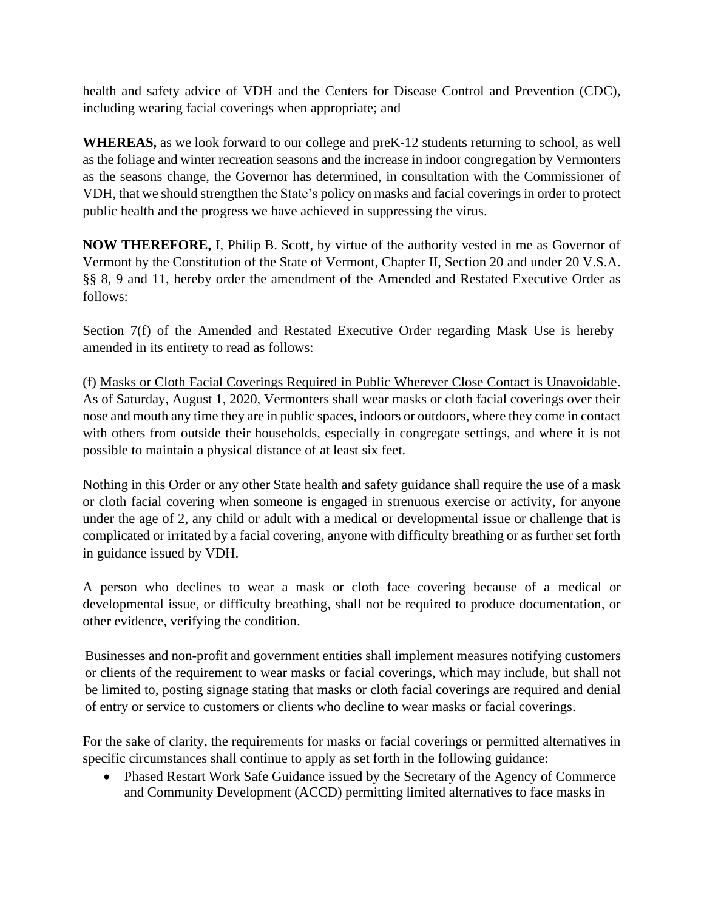health and safety advice of VDH and the Centers for Disease Control and Prevention (CDC), including wearing facial coverings when appropriate; and

**WHEREAS,** as we look forward to our college and preK-12 students returning to school, as well as the foliage and winter recreation seasons and the increase in indoor congregation by Vermonters as the seasons change, the Governor has determined, in consultation with the Commissioner of VDH, that we should strengthen the State's policy on masks and facial coverings in order to protect public health and the progress we have achieved in suppressing the virus.

**NOW THEREFORE,** I, Philip B. Scott, by virtue of the authority vested in me as Governor of Vermont by the Constitution of the State of Vermont, Chapter II, Section 20 and under 20 V.S.A. §§ 8, 9 and 11, hereby order the amendment of the Amended and Restated Executive Order as follows:

Section 7(f) of the Amended and Restated Executive Order regarding Mask Use is hereby amended in its entirety to read as follows:

(f) Masks or Cloth Facial Coverings Required in Public Wherever Close Contact is Unavoidable. As of Saturday, August 1, 2020, Vermonters shall wear masks or cloth facial coverings over their nose and mouth any time they are in public spaces, indoors or outdoors, where they come in contact with others from outside their households, especially in congregate settings, and where it is not possible to maintain a physical distance of at least six feet.

Nothing in this Order or any other State health and safety guidance shall require the use of a mask or cloth facial covering when someone is engaged in strenuous exercise or activity, for anyone under the age of 2, any child or adult with a medical or developmental issue or challenge that is complicated or irritated by a facial covering, anyone with difficulty breathing or as further set forth in guidance issued by VDH.

A person who declines to wear a mask or cloth face covering because of a medical or developmental issue, or difficulty breathing, shall not be required to produce documentation, or other evidence, verifying the condition.

Businesses and non-profit and government entities shall implement measures notifying customers or clients of the requirement to wear masks or facial coverings, which may include, but shall not be limited to, posting signage stating that masks or cloth facial coverings are required and denial of entry or service to customers or clients who decline to wear masks or facial coverings.

For the sake of clarity, the requirements for masks or facial coverings or permitted alternatives in specific circumstances shall continue to apply as set forth in the following guidance:

• Phased Restart Work Safe Guidance issued by the Secretary of the Agency of Commerce and Community Development (ACCD) permitting limited alternatives to face masks in